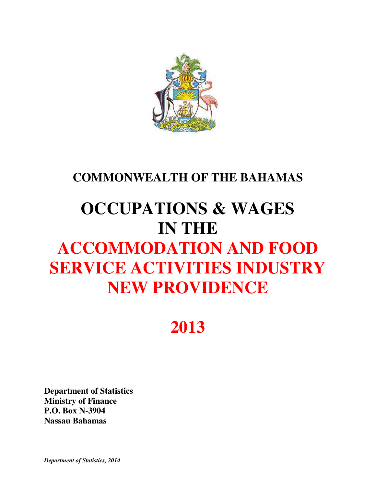

## **COMMONWEALTH OF THE BAHAMAS**

# **OCCUPATIONS & WAGES IN THE ACCOMMODATION AND FOOD SERVICE ACTIVITIES INDUSTRY NEW PROVIDENCE**

## **2013**

**Department of Statistics Ministry of Finance P.O. Box N-3904 Nassau Bahamas** 

*Department of Statistics, 2014*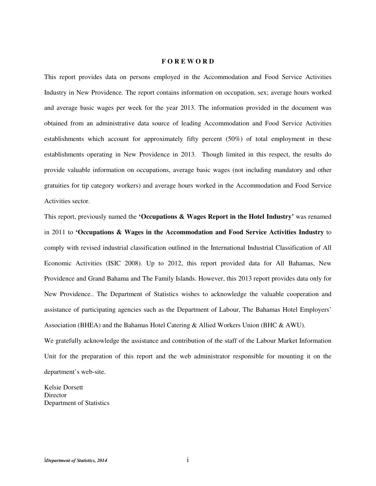#### **F O R E W O R D**

This report provides data on persons employed in the Accommodation and Food Service Activities Industry in New Providence. The report contains information on occupation, sex; average hours worked and average basic wages per week for the year 2013. The information provided in the document was obtained from an administrative data source of leading Accommodation and Food Service Activities establishments which account for approximately fifty percent (50%) of total employment in these establishments operating in New Providence in 2013. Though limited in this respect, the results do provide valuable information on occupations, average basic wages (not including mandatory and other gratuities for tip category workers) and average hours worked in the Accommodation and Food Service Activities sector.

This report, previously named the **'Occupations & Wages Report in the Hotel Industry'** was renamed in 2011 to **'Occupations & Wages in the Accommodation and Food Service Activities Industry** to comply with revised industrial classification outlined in the International Industrial Classification of All Economic Activities (ISIC 2008). Up to 2012, this report provided data for All Bahamas, New Providence and Grand Bahama and The Family Islands. However, this 2013 report provides data only for New Providence.. The Department of Statistics wishes to acknowledge the valuable cooperation and assistance of participating agencies such as the Department of Labour, The Bahamas Hotel Employers' Association (BHEA) and the Bahamas Hotel Catering & Allied Workers Union (BHC & AWU).

We gratefully acknowledge the assistance and contribution of the staff of the Labour Market Information Unit for the preparation of this report and the web administrator responsible for mounting it on the department's web-site.

Kelsie Dorsett **Director** Department of Statistics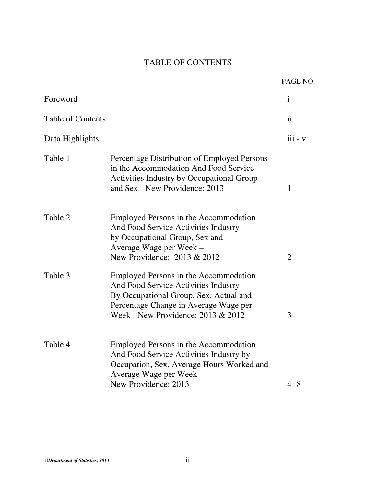## TABLE OF CONTENTS

|                          |                                                                                                                                                                                                        | PAGE NO.       |
|--------------------------|--------------------------------------------------------------------------------------------------------------------------------------------------------------------------------------------------------|----------------|
| Foreword                 |                                                                                                                                                                                                        | $\mathbf{i}$   |
| <b>Table of Contents</b> |                                                                                                                                                                                                        | ii             |
| Data Highlights          |                                                                                                                                                                                                        | $iii - v$      |
| Table 1                  | Percentage Distribution of Employed Persons<br>in the Accommodation And Food Service<br><b>Activities Industry by Occupational Group</b><br>and Sex - New Providence: 2013                             | $\mathbf{1}$   |
| Table 2                  | Employed Persons in the Accommodation<br>And Food Service Activities Industry<br>by Occupational Group, Sex and<br>Average Wage per Week –<br>New Providence: 2013 & 2012                              | $\overline{2}$ |
| Table 3                  | Employed Persons in the Accommodation<br>And Food Service Activities Industry<br>By Occupational Group, Sex, Actual and<br>Percentage Change in Average Wage per<br>Week - New Providence: 2013 & 2012 | 3              |
| Table 4                  | Employed Persons in the Accommodation<br>And Food Service Activities Industry by<br>Occupation, Sex, Average Hours Worked and<br>Average Wage per Week -<br>New Providence: 2013                       | $4 - 8$        |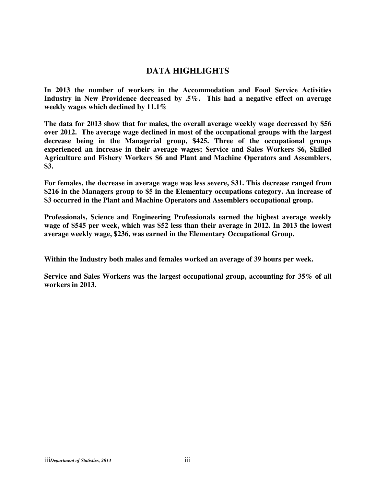### **DATA HIGHLIGHTS**

**In 2013 the number of workers in the Accommodation and Food Service Activities Industry in New Providence decreased by .5%. This had a negative effect on average weekly wages which declined by 11.1%** 

**The data for 2013 show that for males, the overall average weekly wage decreased by \$56 over 2012. The average wage declined in most of the occupational groups with the largest decrease being in the Managerial group, \$425. Three of the occupational groups experienced an increase in their average wages; Service and Sales Workers \$6, Skilled Agriculture and Fishery Workers \$6 and Plant and Machine Operators and Assemblers, \$3.** 

**For females, the decrease in average wage was less severe, \$31. This decrease ranged from \$216 in the Managers group to \$5 in the Elementary occupations category. An increase of \$3 occurred in the Plant and Machine Operators and Assemblers occupational group.** 

**Professionals, Science and Engineering Professionals earned the highest average weekly wage of \$545 per week, which was \$52 less than their average in 2012. In 2013 the lowest average weekly wage, \$236, was earned in the Elementary Occupational Group.** 

**Within the Industry both males and females worked an average of 39 hours per week.** 

**Service and Sales Workers was the largest occupational group, accounting for 35% of all workers in 2013.**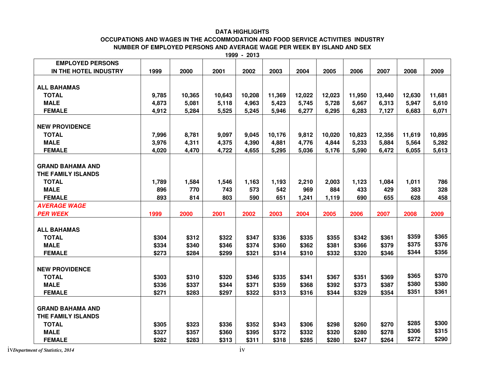#### **DATA HIGHLIGHTS**

#### **OCCUPATIONS AND WAGES IN THE ACCOMMODATION AND FOOD SERVICE ACTIVITIES INDUSTRY NUMBER OF EMPLOYED PERSONS AND AVERAGE WAGE PER WEEK BY ISLAND AND SEX**

**1999 - 2013** 

| <b>EMPLOYED PERSONS</b> |       |        |        |        |        |        |        |        |        |        |        |
|-------------------------|-------|--------|--------|--------|--------|--------|--------|--------|--------|--------|--------|
| IN THE HOTEL INDUSTRY   | 1999  | 2000   | 2001   | 2002   | 2003   | 2004   | 2005   | 2006   | 2007   | 2008   | 2009   |
|                         |       |        |        |        |        |        |        |        |        |        |        |
| <b>ALL BAHAMAS</b>      |       |        |        |        |        |        |        |        |        |        |        |
| <b>TOTAL</b>            | 9,785 | 10,365 | 10,643 | 10,208 | 11,369 | 12,022 | 12,023 | 11,950 | 13,440 | 12,630 | 11,681 |
| <b>MALE</b>             | 4,873 | 5,081  | 5,118  | 4,963  | 5,423  | 5,745  | 5,728  | 5,667  | 6,313  | 5,947  | 5,610  |
| <b>FEMALE</b>           | 4,912 | 5,284  | 5,525  | 5,245  | 5,946  | 6,277  | 6,295  | 6,283  | 7,127  | 6,683  | 6,071  |
|                         |       |        |        |        |        |        |        |        |        |        |        |
| <b>NEW PROVIDENCE</b>   |       |        |        |        |        |        |        |        |        |        |        |
| <b>TOTAL</b>            | 7,996 | 8,781  | 9,097  | 9,045  | 10,176 | 9,812  | 10,020 | 10,823 | 12,356 | 11,619 | 10,895 |
| <b>MALE</b>             | 3,976 | 4,311  | 4,375  | 4,390  | 4,881  | 4,776  | 4,844  | 5,233  | 5,884  | 5,564  | 5,282  |
| <b>FEMALE</b>           | 4,020 | 4,470  | 4,722  | 4,655  | 5,295  | 5,036  | 5,176  | 5,590  | 6,472  | 6,055  | 5,613  |
|                         |       |        |        |        |        |        |        |        |        |        |        |
| <b>GRAND BAHAMA AND</b> |       |        |        |        |        |        |        |        |        |        |        |
| THE FAMILY ISLANDS      |       |        |        |        |        |        |        |        |        |        |        |
| <b>TOTAL</b>            | 1,789 | 1,584  | 1,546  | 1,163  | 1,193  | 2,210  | 2,003  | 1,123  | 1,084  | 1,011  | 786    |
| <b>MALE</b>             | 896   | 770    | 743    | 573    | 542    | 969    | 884    | 433    | 429    | 383    | 328    |
| <b>FEMALE</b>           | 893   | 814    | 803    | 590    | 651    | 1,241  | 1,119  | 690    | 655    | 628    | 458    |
| <b>AVERAGE WAGE</b>     |       |        |        |        |        |        |        |        |        |        |        |
| <b>PER WEEK</b>         | 1999  | 2000   | 2001   | 2002   | 2003   | 2004   | 2005   | 2006   | 2007   | 2008   | 2009   |
|                         |       |        |        |        |        |        |        |        |        |        |        |
| <b>ALL BAHAMAS</b>      |       |        |        |        |        |        |        |        |        |        |        |
| <b>TOTAL</b>            | \$304 | \$312  | \$322  | \$347  | \$336  | \$335  | \$355  | \$342  | \$361  | \$359  | \$365  |
| <b>MALE</b>             | \$334 | \$340  | \$346  | \$374  | \$360  | \$362  | \$381  | \$366  | \$379  | \$375  | \$376  |
| <b>FEMALE</b>           | \$273 | \$284  | \$299  | \$321  | \$314  | \$310  | \$332  | \$320  | \$346  | \$344  | \$356  |
|                         |       |        |        |        |        |        |        |        |        |        |        |
| <b>NEW PROVIDENCE</b>   |       |        |        |        |        |        |        |        |        |        |        |
| <b>TOTAL</b>            | \$303 | \$310  | \$320  | \$346  | \$335  | \$341  | \$367  | \$351  | \$369  | \$365  | \$370  |
| <b>MALE</b>             | \$336 | \$337  | \$344  | \$371  | \$359  | \$368  | \$392  | \$373  | \$387  | \$380  | \$380  |
| <b>FEMALE</b>           | \$271 | \$283  | \$297  | \$322  | \$313  | \$316  | \$344  | \$329  | \$354  | \$351  | \$361  |
|                         |       |        |        |        |        |        |        |        |        |        |        |
| <b>GRAND BAHAMA AND</b> |       |        |        |        |        |        |        |        |        |        |        |
| THE FAMILY ISLANDS      |       |        |        |        |        |        |        |        |        |        |        |
| <b>TOTAL</b>            | \$305 | \$323  | \$336  | \$352  | \$343  | \$306  | \$298  | \$260  | \$270  | \$285  | \$300  |
| <b>MALE</b>             | \$327 | \$357  | \$360  | \$395  | \$372  | \$332  | \$320  | \$280  | \$278  | \$306  | \$315  |
| <b>FEMALE</b>           | \$282 | \$283  | \$313  | \$311  | \$318  | \$285  | \$280  | \$247  | \$264  | \$272  | \$290  |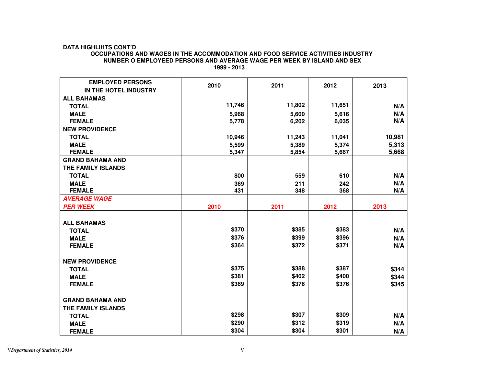#### **DATA HIGHLIHTS CONT'D**

#### **OCCUPATIONS AND WAGES IN THE ACCOMMODATION AND FOOD SERVICE ACTIVITIES INDUSTRY NUMBER O EMPLOYEED PERSONS AND AVERAGE WAGE PER WEEK BY ISLAND AND SEX**

| <b>EMPLOYED PERSONS</b> | 2010   | 2011   | 2012   | 2013   |
|-------------------------|--------|--------|--------|--------|
| IN THE HOTEL INDUSTRY   |        |        |        |        |
| <b>ALL BAHAMAS</b>      |        |        |        |        |
| <b>TOTAL</b>            | 11,746 | 11,802 | 11,651 | N/A    |
| <b>MALE</b>             | 5,968  | 5,600  | 5,616  | N/A    |
| <b>FEMALE</b>           | 5,778  | 6,202  | 6,035  | N/A    |
| <b>NEW PROVIDENCE</b>   |        |        |        |        |
| <b>TOTAL</b>            | 10,946 | 11,243 | 11,041 | 10,981 |
| <b>MALE</b>             | 5,599  | 5,389  | 5,374  | 5,313  |
| <b>FEMALE</b>           | 5,347  | 5,854  | 5,667  | 5,668  |
| <b>GRAND BAHAMA AND</b> |        |        |        |        |
| THE FAMILY ISLANDS      |        |        |        |        |
| <b>TOTAL</b>            | 800    | 559    | 610    | N/A    |
| <b>MALE</b>             | 369    | 211    | 242    | N/A    |
| <b>FEMALE</b>           | 431    | 348    | 368    | N/A    |
| <b>AVERAGE WAGE</b>     |        |        |        |        |
| <b>PER WEEK</b>         | 2010   | 2011   | 2012   | 2013   |
|                         |        |        |        |        |
| <b>ALL BAHAMAS</b>      |        |        |        |        |
| <b>TOTAL</b>            | \$370  | \$385  | \$383  | N/A    |
| <b>MALE</b>             | \$376  | \$399  | \$396  | N/A    |
| <b>FEMALE</b>           | \$364  | \$372  | \$371  | N/A    |
|                         |        |        |        |        |
| <b>NEW PROVIDENCE</b>   |        |        |        |        |
| <b>TOTAL</b>            | \$375  | \$388  | \$387  | \$344  |
| <b>MALE</b>             | \$381  | \$402  | \$400  | \$344  |
| <b>FEMALE</b>           | \$369  | \$376  | \$376  | \$345  |
|                         |        |        |        |        |
| <b>GRAND BAHAMA AND</b> |        |        |        |        |
| THE FAMILY ISLANDS      |        |        |        |        |
| <b>TOTAL</b>            | \$298  | \$307  | \$309  | N/A    |
| <b>MALE</b>             | \$290  | \$312  | \$319  | N/A    |
| <b>FEMALE</b>           | \$304  | \$304  | \$301  | N/A    |

 **1999 - 2013**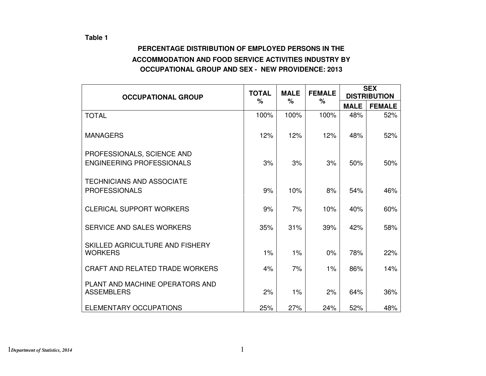### **Table 1**

## **PERCENTAGE DISTRIBUTION OF EMPLOYED PERSONS IN THE ACCOMMODATION AND FOOD SERVICE ACTIVITIES INDUSTRY BY OCCUPATIONAL GROUP AND SEX - NEW PROVIDENCE: 2013**

|                                                                | <b>TOTAL</b> | <b>MALE</b> | <b>FEMALE</b> | <b>SEX</b>  |                     |  |
|----------------------------------------------------------------|--------------|-------------|---------------|-------------|---------------------|--|
| <b>OCCUPATIONAL GROUP</b>                                      | %            | $\%$        | $\%$          |             | <b>DISTRIBUTION</b> |  |
|                                                                |              |             |               | <b>MALE</b> | <b>FEMALE</b>       |  |
| <b>TOTAL</b>                                                   | 100%         | 100%        | 100%          | 48%         | 52%                 |  |
| <b>MANAGERS</b>                                                | 12%          | 12%         | 12%           | 48%         | 52%                 |  |
| PROFESSIONALS, SCIENCE AND<br><b>ENGINEERING PROFESSIONALS</b> | 3%           | 3%          | 3%            | 50%         | 50%                 |  |
| <b>TECHNICIANS AND ASSOCIATE</b><br><b>PROFESSIONALS</b>       | 9%           | 10%         | 8%            | 54%         | 46%                 |  |
| <b>CLERICAL SUPPORT WORKERS</b>                                | 9%           | 7%          | 10%           | 40%         | 60%                 |  |
| SERVICE AND SALES WORKERS                                      | 35%          | 31%         | 39%           | 42%         | 58%                 |  |
| SKILLED AGRICULTURE AND FISHERY<br><b>WORKERS</b>              | 1%           | 1%          | 0%            | 78%         | 22%                 |  |
| <b>CRAFT AND RELATED TRADE WORKERS</b>                         | 4%           | 7%          | 1%            | 86%         | 14%                 |  |
| PLANT AND MACHINE OPERATORS AND<br><b>ASSEMBLERS</b>           | 2%           | 1%          | 2%            | 64%         | 36%                 |  |
| ELEMENTARY OCCUPATIONS                                         | 25%          | 27%         | 24%           | 52%         | 48%                 |  |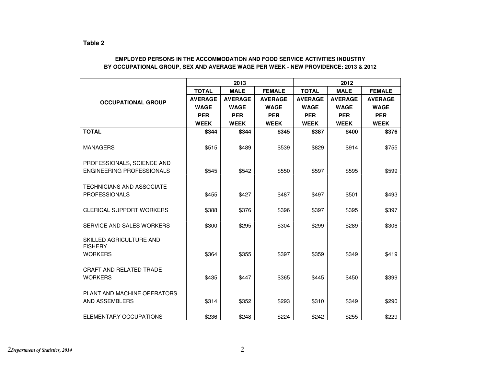#### **EMPLOYED PERSONS IN THE ACCOMMODATION AND FOOD SERVICE ACTIVITIES INDUSTRY BY OCCUPATIONAL GROUP, SEX AND AVERAGE WAGE PER WEEK - NEW PROVIDENCE: 2013 & 2012**

|                                           |                | 2013           |                | 2012           |                |                |  |
|-------------------------------------------|----------------|----------------|----------------|----------------|----------------|----------------|--|
|                                           | <b>TOTAL</b>   | <b>MALE</b>    | <b>FEMALE</b>  | <b>TOTAL</b>   | <b>MALE</b>    | <b>FEMALE</b>  |  |
| <b>OCCUPATIONAL GROUP</b>                 | <b>AVERAGE</b> | <b>AVERAGE</b> | <b>AVERAGE</b> | <b>AVERAGE</b> | <b>AVERAGE</b> | <b>AVERAGE</b> |  |
|                                           | <b>WAGE</b>    | <b>WAGE</b>    | <b>WAGE</b>    | <b>WAGE</b>    | <b>WAGE</b>    | <b>WAGE</b>    |  |
|                                           | <b>PER</b>     | <b>PER</b>     | <b>PER</b>     | <b>PER</b>     | <b>PER</b>     | <b>PER</b>     |  |
|                                           | <b>WEEK</b>    | <b>WEEK</b>    | <b>WEEK</b>    | <b>WEEK</b>    | <b>WEEK</b>    | <b>WEEK</b>    |  |
| <b>TOTAL</b>                              | \$344          | \$344          | \$345          | \$387          | \$400          | \$376          |  |
| <b>MANAGERS</b>                           | \$515          | \$489          | \$539          | \$829          | \$914          | \$755          |  |
| PROFESSIONALS, SCIENCE AND                |                |                |                |                |                |                |  |
| ENGINEERING PROFESSIONALS                 | \$545          | \$542          | \$550          | \$597          | \$595          | \$599          |  |
| TECHNICIANS AND ASSOCIATE                 |                |                |                |                |                |                |  |
| <b>PROFESSIONALS</b>                      | \$455          | \$427          | \$487          | \$497          | \$501          | \$493          |  |
| <b>CLERICAL SUPPORT WORKERS</b>           | \$388          | \$376          | \$396          | \$397          | \$395          | \$397          |  |
| SERVICE AND SALES WORKERS                 | \$300          | \$295          | \$304          | \$299          | \$289          | \$306          |  |
| SKILLED AGRICULTURE AND<br><b>FISHERY</b> |                |                |                |                |                |                |  |
| <b>WORKERS</b>                            | \$364          | \$355          | \$397          | \$359          | \$349          | \$419          |  |
| <b>CRAFT AND RELATED TRADE</b>            |                |                |                |                |                |                |  |
| <b>WORKERS</b>                            | \$435          | \$447          | \$365          | \$445          | \$450          | \$399          |  |
| PLANT AND MACHINE OPERATORS               |                |                |                |                |                |                |  |
| AND ASSEMBLERS                            | \$314          | \$352          | \$293          | \$310          | \$349          | \$290          |  |
| ELEMENTARY OCCUPATIONS                    | \$236          | \$248          | \$224          | \$242          | \$255          | \$229          |  |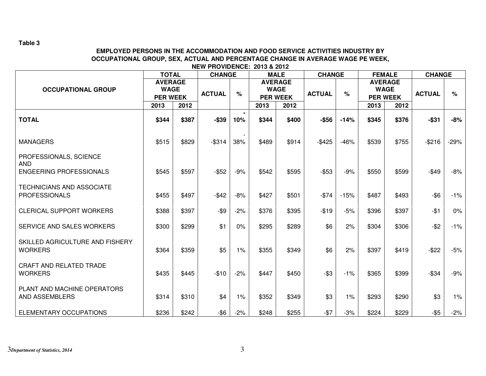**Table 3** 

#### **EMPLOYED PERSONS IN THE ACCOMMODATION AND FOOD SERVICE ACTIVITIES INDUSTRY BY OCCUPATIONAL GROUP, SEX, ACTUAL AND PERCENTAGE CHANGE IN AVERAGE WAGE PE WEEK, NEW PROVIDENCE: 2013 & 2012**

|                                                          | <b>TOTAL</b>                  |       | <b>CHANGE</b> |                                 |                 | <b>MALE</b>                   | <b>CHANGE</b> |        |       | <b>FEMALE</b>                 | <b>CHANGE</b> |        |
|----------------------------------------------------------|-------------------------------|-------|---------------|---------------------------------|-----------------|-------------------------------|---------------|--------|-------|-------------------------------|---------------|--------|
| <b>OCCUPATIONAL GROUP</b>                                | <b>AVERAGE</b><br><b>WAGE</b> |       | <b>ACTUAL</b> | $\%$                            |                 | <b>AVERAGE</b><br><b>WAGE</b> | <b>ACTUAL</b> | $\%$   |       | <b>AVERAGE</b><br><b>WAGE</b> | <b>ACTUAL</b> | $\%$   |
|                                                          | <b>PER WEEK</b>               |       |               |                                 | <b>PER WEEK</b> |                               |               |        |       | <b>PER WEEK</b>               |               |        |
|                                                          | 2013                          | 2012  |               |                                 | 2013            | 2012                          |               |        | 2013  | 2012                          |               |        |
| <b>TOTAL</b>                                             | \$344                         | \$387 | $-$39$        | 10%                             | \$344           | \$400                         | $-$ \$56      | $-14%$ | \$345 | \$376                         | $-$ \$31      | $-8%$  |
| <b>MANAGERS</b>                                          | \$515                         | \$829 | $-$ \$314     | $\overline{\phantom{a}}$<br>38% | \$489           | \$914                         | $-$ \$425     | $-46%$ | \$539 | \$755                         | $-$ \$216     | $-29%$ |
| PROFESSIONALS, SCIENCE<br><b>AND</b>                     |                               |       |               |                                 |                 |                               |               |        |       |                               |               |        |
| <b>ENGEERING PROFESSIONALS</b>                           | \$545                         | \$597 | $-$ \$52      | $-9%$                           | \$542           | \$595                         | $-$ \$53      | $-9%$  | \$550 | \$599                         | $-$ \$49      | $-8%$  |
| <b>TECHNICIANS AND ASSOCIATE</b><br><b>PROFESSIONALS</b> | \$455                         | \$497 | $-$ \$42      | $-8%$                           | \$427           | \$501                         | $-$74$        | $-15%$ | \$487 | \$493                         | $-$ \$6       | $-1%$  |
|                                                          |                               |       |               |                                 |                 |                               |               |        |       |                               |               |        |
| <b>CLERICAL SUPPORT WORKERS</b>                          | \$388                         | \$397 | $-$ \$9       | $-2%$                           | \$376           | \$395                         | $-$19$        | $-5%$  | \$396 | \$397                         | $-$1$         | $0\%$  |
| SERVICE AND SALES WORKERS                                | \$300                         | \$299 | \$1           | 0%                              | \$295           | \$289                         | \$6           | 2%     | \$304 | \$306                         | $-$ \$2       | $-1%$  |
| SKILLED AGRICULTURE AND FISHERY<br><b>WORKERS</b>        | \$364                         | \$359 | \$5           | 1%                              | \$355           | \$349                         | \$6           | 2%     | \$397 | \$419                         | $-$ \$22      | $-5%$  |
|                                                          |                               |       |               |                                 |                 |                               |               |        |       |                               |               |        |
| <b>CRAFT AND RELATED TRADE</b><br><b>WORKERS</b>         | \$435                         | \$445 | $-$10$        | $-2%$                           | \$447           | \$450                         | $-$ \$3       | $-1%$  | \$365 | \$399                         | $-$ \$34      | $-9%$  |
| PLANT AND MACHINE OPERATORS<br>AND ASSEMBLERS            | \$314                         | \$310 | \$4           | $1\%$                           | \$352           | \$349                         | \$3           | 1%     | \$293 | \$290                         | \$3           | 1%     |
|                                                          |                               |       |               |                                 |                 |                               |               |        |       |                               |               |        |
| ELEMENTARY OCCUPATIONS                                   | \$236                         | \$242 | $-$ \$6       | $-2%$                           | \$248           | \$255                         | $-$ \$7       | $-3%$  | \$224 | \$229                         | $-$ \$5       | $-2%$  |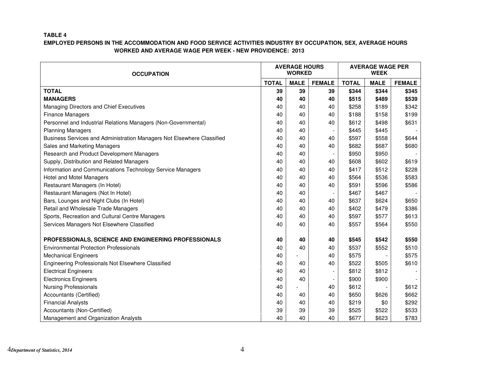#### **TABLE 4**

| <b>OCCUPATION</b>                                                      |              | <b>AVERAGE HOURS</b><br><b>WORKED</b> |               | <b>AVERAGE WAGE PER</b><br><b>WEEK</b> |             |               |  |
|------------------------------------------------------------------------|--------------|---------------------------------------|---------------|----------------------------------------|-------------|---------------|--|
|                                                                        | <b>TOTAL</b> | <b>MALE</b>                           | <b>FEMALE</b> | <b>TOTAL</b>                           | <b>MALE</b> | <b>FEMALE</b> |  |
| <b>TOTAL</b>                                                           | 39           | 39                                    | 39            | \$344                                  | \$344       | \$345         |  |
| <b>MANAGERS</b>                                                        | 40           | 40                                    | 40            | \$515                                  | \$489       | \$539         |  |
| Managing Directors and Chief Executives                                | 40           | 40                                    | 40            | \$258                                  | \$189       | \$342         |  |
| <b>Finance Managers</b>                                                | 40           | 40                                    | 40            | \$188                                  | \$158       | \$199         |  |
| Personnel and Industrial Relations Managers (Non-Governmental)         | 40           | 40                                    | 40            | \$612                                  | \$498       | \$631         |  |
| <b>Planning Managers</b>                                               | 40           | 40                                    |               | \$445                                  | \$445       |               |  |
| Business Services and Administration Managers Not Elsewhere Classified | 40           | 40                                    | 40            | \$597                                  | \$558       | \$644         |  |
| Sales and Marketing Managers                                           | 40           | 40                                    | 40            | \$682                                  | \$687       | \$680         |  |
| Research and Product Development Managers                              | 40           | 40                                    |               | \$950                                  | \$950       |               |  |
| Supply, Distribution and Related Managers                              | 40           | 40                                    | 40            | \$608                                  | \$602       | \$619         |  |
| Information and Communications Technology Service Managers             | 40           | 40                                    | 40            | \$417                                  | \$512       | \$228         |  |
| <b>Hotel and Motel Managers</b>                                        | 40           | 40                                    | 40            | \$564                                  | \$536       | \$583         |  |
| Restaurant Managers (In Hotel)                                         | 40           | 40                                    | 40            | \$591                                  | \$596       | \$586         |  |
| Restaurant Managers (Not In Hotel)                                     | 40           | 40                                    |               | \$467                                  | \$467       |               |  |
| Bars, Lounges and Night Clubs (In Hotel)                               | 40           | 40                                    | 40            | \$637                                  | \$624       | \$650         |  |
| Retail and Wholesale Trade Managers                                    | 40           | 40                                    | 40            | \$402                                  | \$479       | \$386         |  |
| Sports, Recreation and Cultural Centre Managers                        | 40           | 40                                    | 40            | \$597                                  | \$577       | \$613         |  |
| Services Managers Not Elsewhere Classified                             | 40           | 40                                    | 40            | \$557                                  | \$564       | \$550         |  |
|                                                                        |              |                                       |               |                                        |             |               |  |
| PROFESSIONALS, SCIENCE AND ENGINEERING PROFESSIONALS                   | 40           | 40                                    | 40            | \$545                                  | \$542       | \$550         |  |
| <b>Environmental Protection Professionals</b>                          | 40           | 40                                    | 40            | \$537                                  | \$552       | \$510         |  |
| <b>Mechanical Engineers</b>                                            | 40           |                                       | 40            | \$575                                  |             | \$575         |  |
| Engineering Professionals Not Elsewhere Classified                     | 40           | 40                                    | 40            | \$522                                  | \$505       | \$610         |  |
| <b>Electrical Engineers</b>                                            | 40           | 40                                    |               | \$812                                  | \$812       |               |  |
| <b>Electronics Engineers</b>                                           | 40           | 40                                    |               | \$900                                  | \$900       |               |  |
| <b>Nursing Professionals</b>                                           | 40           |                                       | 40            | \$612                                  |             | \$612         |  |
| Accountants (Certified)                                                | 40           | 40                                    | 40            | \$650                                  | \$626       | \$662         |  |
| <b>Financial Analysts</b>                                              | 40           | 40                                    | 40            | \$219                                  | \$0         | \$292         |  |
| Accountants (Non-Certified)                                            | 39           | 39                                    | 39            | \$525                                  | \$522       | \$533         |  |
| Management and Organization Analysts                                   | 40           | 40                                    | 40            | \$677                                  | \$623       | \$783         |  |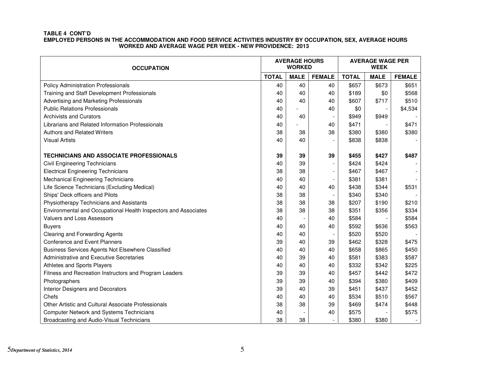| <b>OCCUPATION</b>                                               |              | <b>AVERAGE HOURS</b><br><b>WORKED</b> |                          | <b>AVERAGE WAGE PER</b><br><b>WEEK</b> |             |               |  |
|-----------------------------------------------------------------|--------------|---------------------------------------|--------------------------|----------------------------------------|-------------|---------------|--|
|                                                                 | <b>TOTAL</b> | <b>MALE</b>                           | <b>FEMALE</b>            | <b>TOTAL</b>                           | <b>MALE</b> | <b>FEMALE</b> |  |
| <b>Policy Administration Professionals</b>                      | 40           | 40                                    | 40                       | \$657                                  | \$673       | \$651         |  |
| Training and Staff Development Professionals                    | 40           | 40                                    | 40                       | \$189                                  | \$0         | \$568         |  |
| Advertising and Marketing Professionals                         | 40           | 40                                    | 40                       | \$607                                  | \$717       | \$510         |  |
| <b>Public Relations Professionals</b>                           | 40           |                                       | 40                       | \$0                                    |             | \$4,534       |  |
| <b>Archivists and Curators</b>                                  | 40           | 40                                    |                          | \$949                                  | \$949       |               |  |
| Librarians and Related Information Professionals                | 40           |                                       | 40                       | \$471                                  |             | \$471         |  |
| <b>Authors and Related Writers</b>                              | 38           | 38                                    | 38                       | \$380                                  | \$380       | \$380         |  |
| <b>Visual Artists</b>                                           | 40           | 40                                    |                          | \$838                                  | \$838       |               |  |
| <b>TECHNICIANS AND ASSOCIATE PROFESSIONALS</b>                  | 39           | 39                                    | 39                       | \$455                                  | \$427       | \$487         |  |
| Civil Engineering Technicians                                   | 40           | 39                                    |                          | \$424                                  | \$424       |               |  |
| <b>Electrical Engineering Technicians</b>                       | 38           | 38                                    | $\overline{\phantom{a}}$ | \$467                                  | \$467       |               |  |
| Mechanical Engineering Technicians                              | 40           | 40                                    |                          | \$381                                  | \$381       |               |  |
| Life Science Technicians (Excluding Medical)                    | 40           | 40                                    | 40                       | \$438                                  | \$344       | \$531         |  |
| Ships' Deck officers and Pilots                                 | 38           | 38                                    |                          | \$340                                  | \$340       |               |  |
| Physiotherapy Technicians and Assistants                        | 38           | 38                                    | 38                       | \$207                                  | \$190       | \$210         |  |
| Environmental and Occupational Health Inspectors and Associates | 38           | 38                                    | 38                       | \$351                                  | \$356       | \$334         |  |
| Valuers and Loss Assessors                                      | 40           |                                       | 40                       | \$584                                  |             | \$584         |  |
| <b>Buyers</b>                                                   | 40           | 40                                    | 40                       | \$592                                  | \$636       | \$563         |  |
| Clearing and Forwarding Agents                                  | 40           | 40                                    |                          | \$520                                  | \$520       |               |  |
| <b>Conference and Event Planners</b>                            | 39           | 40                                    | 39                       | \$462                                  | \$328       | \$475         |  |
| Business Services Agents Not Elsewhere Classified               | 40           | 40                                    | 40                       | \$658                                  | \$865       | \$450         |  |
| Administrative and Executive Secretaries                        | 40           | 39                                    | 40                       | \$581                                  | \$383       | \$587         |  |
| Athletes and Sports Players                                     | 40           | 40                                    | 40                       | \$332                                  | \$342       | \$225         |  |
| Fitness and Recreation Instructors and Program Leaders          | 39           | 39                                    | 40                       | \$457                                  | \$442       | \$472         |  |
| Photographers                                                   | 39           | 39                                    | 40                       | \$394                                  | \$380       | \$409         |  |
| Interior Designers and Decorators                               | 39           | 40                                    | 39                       | \$451                                  | \$437       | \$452         |  |
| Chefs                                                           | 40           | 40                                    | 40                       | \$534                                  | \$510       | \$567         |  |
| Other Artistic and Cultural Associate Professionals             | 38           | 38                                    | 39                       | \$469                                  | \$474       | \$448         |  |
| <b>Computer Network and Systems Technicians</b>                 | 40           |                                       | 40                       | \$575                                  |             | \$575         |  |
| Broadcasting and Audio-Visual Technicians                       | 38           | 38                                    | $\overline{\phantom{a}}$ | \$380                                  | \$380       |               |  |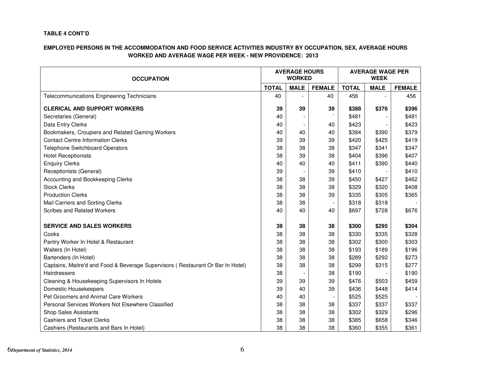#### **TABLE 4 CONT'D**

| <b>OCCUPATION</b>                                                                |              | <b>AVERAGE HOURS</b><br><b>WORKED</b> |               | <b>AVERAGE WAGE PER</b><br><b>WEEK</b> |             |               |  |
|----------------------------------------------------------------------------------|--------------|---------------------------------------|---------------|----------------------------------------|-------------|---------------|--|
|                                                                                  | <b>TOTAL</b> | <b>MALE</b>                           | <b>FEMALE</b> | <b>TOTAL</b>                           | <b>MALE</b> | <b>FEMALE</b> |  |
| <b>Telecommunications Engineering Technicians</b>                                | 40           |                                       | 40            | 456                                    |             | 456           |  |
| <b>CLERICAL AND SUPPORT WORKERS</b>                                              | 39           | 39                                    | 39            | \$388                                  | \$376       | \$396         |  |
| Secretaries (General)                                                            | 40           |                                       |               | \$481                                  |             | \$481         |  |
| Data Entry Clerks                                                                | 40           |                                       | 40            | \$423                                  |             | \$423         |  |
| Bookmakers, Croupiers and Related Gaming Workers                                 | 40           | 40                                    | 40            | \$384                                  | \$390       | \$379         |  |
| <b>Contact Centre Information Clerks</b>                                         | 39           | 39                                    | 39            | \$420                                  | \$425       | \$419         |  |
| <b>Telephone Switchboard Operators</b>                                           | 38           | 38                                    | 38            | \$347                                  | \$341       | \$347         |  |
| <b>Hotel Receptionists</b>                                                       | 38           | 39                                    | 38            | \$404                                  | \$396       | \$407         |  |
| <b>Enquiry Clerks</b>                                                            | 40           | 40                                    | 40            | \$411                                  | \$390       | \$440         |  |
| Receptionists (General)                                                          | 39           |                                       | 39            | \$410                                  |             | \$410         |  |
| Accounting and Bookkeeping Clerks                                                | 38           | 38                                    | 39            | \$450                                  | \$427       | \$462         |  |
| <b>Stock Clerks</b>                                                              | 38           | 38                                    | 38            | \$329                                  | \$320       | \$408         |  |
| <b>Production Clerks</b>                                                         | 38           | 38                                    | 39            | \$335                                  | \$305       | \$365         |  |
| Mail Carriers and Sorting Clerks                                                 | 38           | 38                                    |               | \$318                                  | \$318       |               |  |
| <b>Scribes and Related Workers</b>                                               | 40           | 40                                    | 40            | \$697                                  | \$728       | \$676         |  |
| <b>SERVICE AND SALES WORKERS</b>                                                 | 38           | 38                                    | 38            | \$300                                  | \$295       | \$304         |  |
| Cooks                                                                            | 38           | 38                                    | 38            | \$330                                  | \$335       | \$328         |  |
| Pantry Worker In Hotel & Restaurant                                              | 38           | 38                                    | 38            | \$302                                  | \$300       | \$303         |  |
| Waiters (In Hotel)                                                               | 38           | 38                                    | 38            | \$193                                  | \$189       | \$196         |  |
| Bartenders (In Hotel)                                                            | 38           | 38                                    | 38            | \$289                                  | \$292       | \$273         |  |
| Captains, Maitre'd and Food & Beverage Supervisors ( Restaurant Or Bar In Hotel) | 38           | 38                                    | 38            | \$299                                  | \$315       | \$277         |  |
| Hairdressers                                                                     | 38           |                                       | 38            | \$190                                  |             | \$190         |  |
| Cleaning & Housekeeping Supervisors In Hotels                                    | 39           | 39                                    | 39            | \$476                                  | \$503       | \$459         |  |
| Domestic Housekeepers                                                            | 39           | 40                                    | 39            | \$436                                  | \$448       | \$414         |  |
| Pet Groomers and Animal Care Workers                                             | 40           | 40                                    |               | \$525                                  | \$525       |               |  |
| Personal Services Workers Not Elsewhere Classified                               | 38           | 38                                    | 38            | \$337                                  | \$337       | \$337         |  |
| <b>Shop Sales Assistants</b>                                                     | 38           | 38                                    | 38            | \$302                                  | \$329       | \$296         |  |
| <b>Cashiers and Ticket Clerks</b>                                                | 38           | 38                                    | 38            | \$385                                  | \$658       | \$346         |  |
| Cashiers (Restaurants and Bars In Hotel)                                         | 38           | 38                                    | 38            | \$360                                  | \$355       | \$361         |  |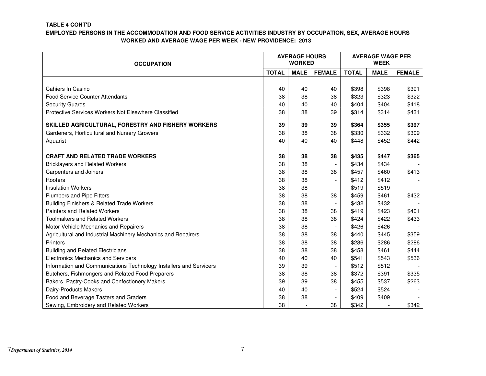#### **TABLE 4 CONT'D**

| <b>OCCUPATION</b>                                                  |              | <b>AVERAGE HOURS</b><br><b>WORKED</b> |               | <b>AVERAGE WAGE PER</b><br><b>WEEK</b> |             |               |
|--------------------------------------------------------------------|--------------|---------------------------------------|---------------|----------------------------------------|-------------|---------------|
|                                                                    | <b>TOTAL</b> | <b>MALE</b>                           | <b>FEMALE</b> | <b>TOTAL</b>                           | <b>MALE</b> | <b>FEMALE</b> |
|                                                                    |              |                                       |               |                                        |             |               |
| Cahiers In Casino                                                  | 40           | 40                                    | 40            | \$398                                  | \$398       | \$391         |
| <b>Food Service Counter Attendants</b>                             | 38           | 38                                    | 38            | \$323                                  | \$323       | \$322         |
| <b>Security Guards</b>                                             | 40           | 40                                    | 40            | \$404                                  | \$404       | \$418         |
| Protective Services Workers Not Elsewhere Classified               | 38           | 38                                    | 39            | \$314                                  | \$314       | \$431         |
| SKILLED AGRICULTURAL, FORESTRY AND FISHERY WORKERS                 | 39           | 39                                    | 39            | \$364                                  | \$355       | \$397         |
| Gardeners, Horticultural and Nursery Growers                       | 38           | 38                                    | 38            | \$330                                  | \$332       | \$309         |
| Aquarist                                                           | 40           | 40                                    | 40            | \$448                                  | \$452       | \$442         |
|                                                                    |              |                                       |               |                                        |             |               |
| <b>CRAFT AND RELATED TRADE WORKERS</b>                             | 38           | 38                                    | 38            | \$435                                  | \$447       | \$365         |
| <b>Bricklayers and Related Workers</b>                             | 38           | 38                                    |               | \$434                                  | \$434       |               |
| Carpenters and Joiners                                             | 38           | 38                                    | 38            | \$457                                  | \$460       | \$413         |
| Roofers                                                            | 38           | 38                                    |               | \$412                                  | \$412       |               |
| <b>Insulation Workers</b>                                          | 38           | 38                                    |               | \$519                                  | \$519       |               |
| Plumbers and Pipe Fitters                                          | 38           | 38                                    | 38            | \$459                                  | \$461       | \$432         |
| Building Finishers & Related Trade Workers                         | 38           | 38                                    |               | \$432                                  | \$432       |               |
| <b>Painters and Related Workers</b>                                | 38           | 38                                    | 38            | \$419                                  | \$423       | \$401         |
| <b>Toolmakers and Related Workers</b>                              | 38           | 38                                    | 38            | \$424                                  | \$422       | \$433         |
| Motor Vehicle Mechanics and Repairers                              | 38           | 38                                    |               | \$426                                  | \$426       |               |
| Agricultural and Industrial Machinery Mechanics and Repairers      | 38           | 38                                    | 38            | \$440                                  | \$445       | \$359         |
| Printers                                                           | 38           | 38                                    | 38            | \$286                                  | \$286       | \$286         |
| <b>Building and Related Electricians</b>                           | 38           | 38                                    | 38            | \$458                                  | \$461       | \$444         |
| <b>Electronics Mechanics and Servicers</b>                         | 40           | 40                                    | 40            | \$541                                  | \$543       | \$536         |
| Information and Communications Technology Installers and Servicers | 39           | 39                                    |               | \$512                                  | \$512       |               |
| Butchers, Fishmongers and Related Food Preparers                   | 38           | 38                                    | 38            | \$372                                  | \$391       | \$335         |
| Bakers, Pastry-Cooks and Confectionery Makers                      | 39           | 39                                    | 38            | \$455                                  | \$537       | \$263         |
| Dairy-Products Makers                                              | 40           | 40                                    |               | \$524                                  | \$524       |               |
| Food and Beverage Tasters and Graders                              | 38           | 38                                    |               | \$409                                  | \$409       |               |
| Sewing, Embroidery and Related Workers                             | 38           |                                       | 38            | \$342                                  |             | \$342         |